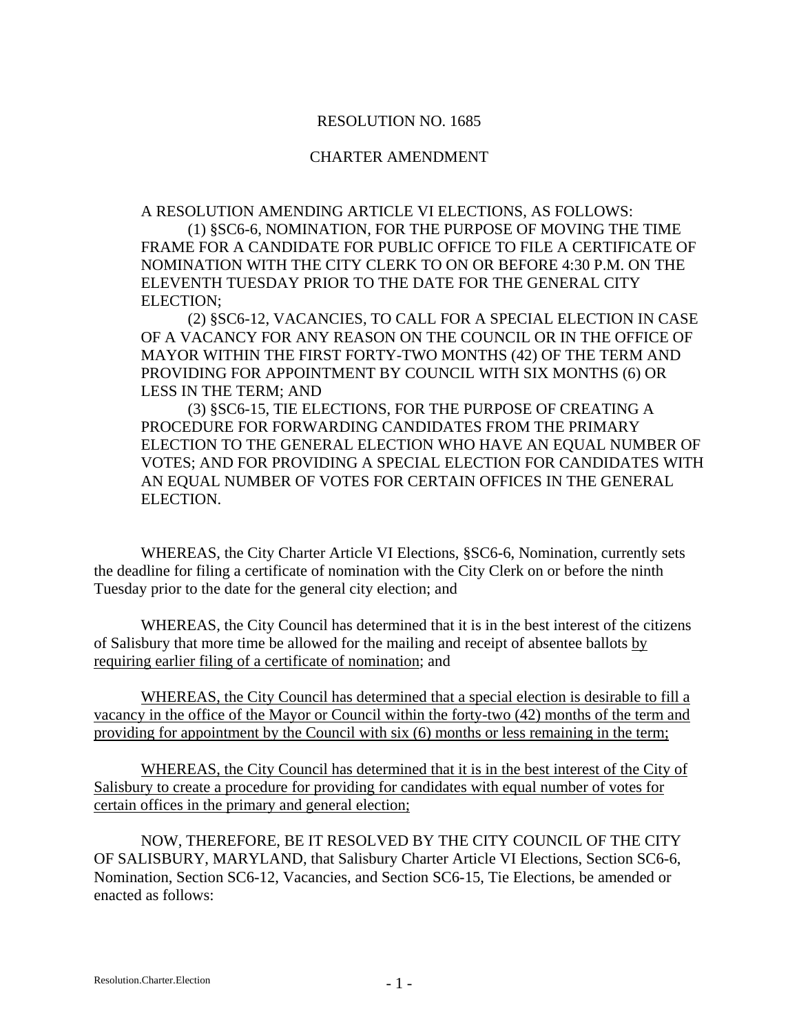#### RESOLUTION NO. 1685

#### CHARTER AMENDMENT

A RESOLUTION AMENDING ARTICLE VI ELECTIONS, AS FOLLOWS:

(1) §SC6-6, NOMINATION, FOR THE PURPOSE OF MOVING THE TIME FRAME FOR A CANDIDATE FOR PUBLIC OFFICE TO FILE A CERTIFICATE OF NOMINATION WITH THE CITY CLERK TO ON OR BEFORE 4:30 P.M. ON THE ELEVENTH TUESDAY PRIOR TO THE DATE FOR THE GENERAL CITY ELECTION;

(2) §SC6-12, VACANCIES, TO CALL FOR A SPECIAL ELECTION IN CASE OF A VACANCY FOR ANY REASON ON THE COUNCIL OR IN THE OFFICE OF MAYOR WITHIN THE FIRST FORTY-TWO MONTHS (42) OF THE TERM AND PROVIDING FOR APPOINTMENT BY COUNCIL WITH SIX MONTHS (6) OR LESS IN THE TERM; AND

(3) §SC6-15, TIE ELECTIONS, FOR THE PURPOSE OF CREATING A PROCEDURE FOR FORWARDING CANDIDATES FROM THE PRIMARY ELECTION TO THE GENERAL ELECTION WHO HAVE AN EQUAL NUMBER OF VOTES; AND FOR PROVIDING A SPECIAL ELECTION FOR CANDIDATES WITH AN EQUAL NUMBER OF VOTES FOR CERTAIN OFFICES IN THE GENERAL ELECTION.

WHEREAS, the City Charter Article VI Elections, §SC6-6, Nomination, currently sets the deadline for filing a certificate of nomination with the City Clerk on or before the ninth Tuesday prior to the date for the general city election; and

WHEREAS, the City Council has determined that it is in the best interest of the citizens of Salisbury that more time be allowed for the mailing and receipt of absentee ballots by requiring earlier filing of a certificate of nomination; and

WHEREAS, the City Council has determined that a special election is desirable to fill a vacancy in the office of the Mayor or Council within the forty-two (42) months of the term and providing for appointment by the Council with six (6) months or less remaining in the term;

WHEREAS, the City Council has determined that it is in the best interest of the City of Salisbury to create a procedure for providing for candidates with equal number of votes for certain offices in the primary and general election;

NOW, THEREFORE, BE IT RESOLVED BY THE CITY COUNCIL OF THE CITY OF SALISBURY, MARYLAND, that Salisbury Charter Article VI Elections, Section SC6-6, Nomination, Section SC6-12, Vacancies, and Section SC6-15, Tie Elections, be amended or enacted as follows: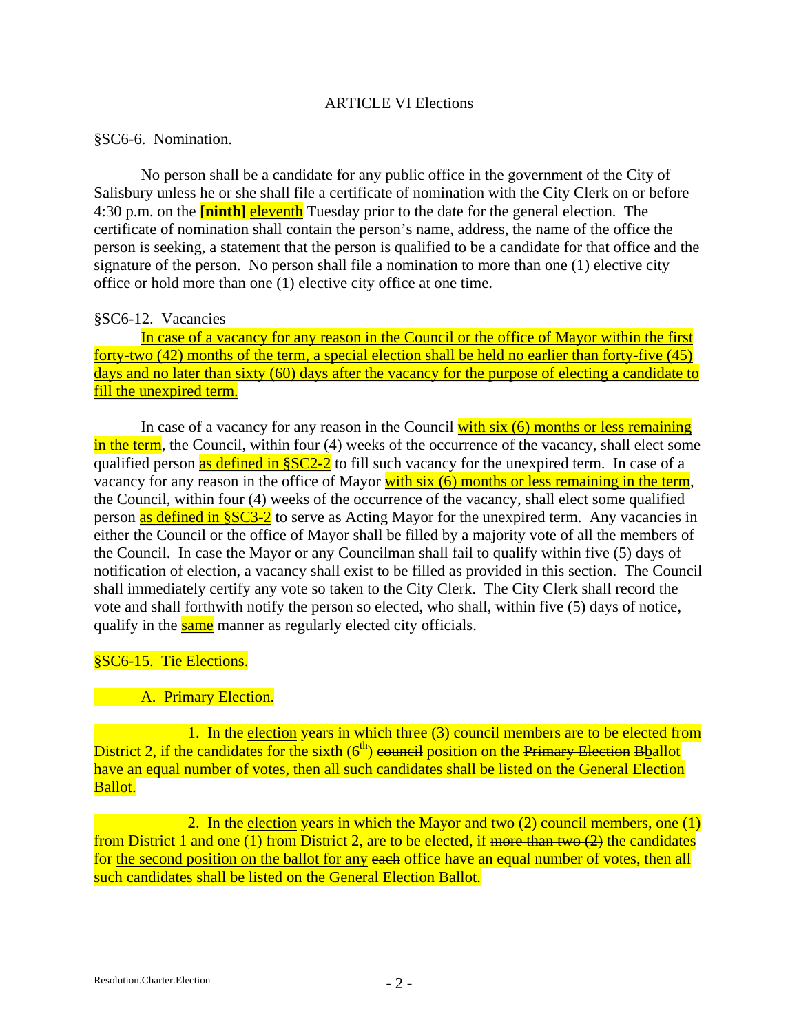### ARTICLE VI Elections

### §SC6-6. Nomination.

 No person shall be a candidate for any public office in the government of the City of Salisbury unless he or she shall file a certificate of nomination with the City Clerk on or before 4:30 p.m. on the **[ninth]** eleventh Tuesday prior to the date for the general election. The certificate of nomination shall contain the person's name, address, the name of the office the person is seeking, a statement that the person is qualified to be a candidate for that office and the signature of the person. No person shall file a nomination to more than one (1) elective city office or hold more than one (1) elective city office at one time.

# §SC6-12. Vacancies

In case of a vacancy for any reason in the Council or the office of Mayor within the first forty-two (42) months of the term, a special election shall be held no earlier than forty-five (45) days and no later than sixty (60) days after the vacancy for the purpose of electing a candidate to fill the unexpired term.

In case of a vacancy for any reason in the Council with six (6) months or less remaining in the term, the Council, within four (4) weeks of the occurrence of the vacancy, shall elect some qualified person as defined in §SC2-2 to fill such vacancy for the unexpired term. In case of a vacancy for any reason in the office of Mayor with six (6) months or less remaining in the term, the Council, within four (4) weeks of the occurrence of the vacancy, shall elect some qualified person as defined in §SC3-2 to serve as Acting Mayor for the unexpired term. Any vacancies in either the Council or the office of Mayor shall be filled by a majority vote of all the members of the Council. In case the Mayor or any Councilman shall fail to qualify within five (5) days of notification of election, a vacancy shall exist to be filled as provided in this section. The Council shall immediately certify any vote so taken to the City Clerk. The City Clerk shall record the vote and shall forthwith notify the person so elected, who shall, within five (5) days of notice, qualify in the same manner as regularly elected city officials.

# §SC6-15. Tie Elections.

# **Example 21 A. Primary Election.**

 1. In the election years in which three (3) council members are to be elected from District 2, if the candidates for the sixth  $(6<sup>th</sup>)$  council position on the Primary Election Bballot have an equal number of votes, then all such candidates shall be listed on the General Election Ballot.

2. In the election years in which the Mayor and two  $(2)$  council members, one  $(1)$ from District 1 and one (1) from District 2, are to be elected, if more than two  $(2)$  the candidates for the second position on the ballot for any each office have an equal number of votes, then all such candidates shall be listed on the General Election Ballot.